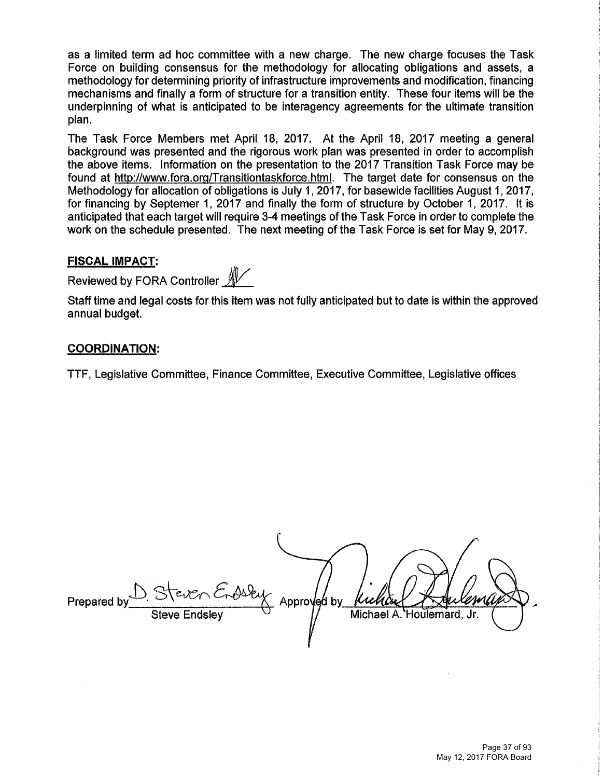as a limited term ad hoc committee with a new charge. The new charge focuses the Task Force on building consensus for the methodology for allocating obligations and assets, a methodology for determining priority of infrastructure improvements and modification, financing mechanisms and finally a form of structure for a transition entity. These four items will be the underpinning of what is anticipated to be interagency agreements for the ultimate transition plan.

The Task Force Members met April 18, 2017. At the April 18, 2017 meeting a general background was presented and the rigorous work plan was presented in order to accomplish the above items. Information on the presentation to the 2017 Transition Task Force may be found at http://www.fora.org/Transitiontaskforce.html. The target date for consensus on the Methodology for allocation of obligations is July 1, 2017, for basewide facilities August 1, 2017, for financing by Septemer 1, 2017 and finally the form of structure by October 1, 2017. It is anticipated that each target will require 3.4 meetings of the Task Force in order to complete the work on the schedule presented. The next meeting of the Task Force is set for May 9, 2017.

### **FISCAL IMPACT:**

Reviewed by FORA Controller  $\mathbb{X}$ 

Staff time and legal costs for this item was not fully anticipated but to date is within the approved annual budget.

#### **COORDINATION:**

TTF, Legislative Committee, Finance Committee, Executive Committee, Legislative offices

Prepared by Steven Endsley Approv Michael A. Houlemard. Steve Endsley